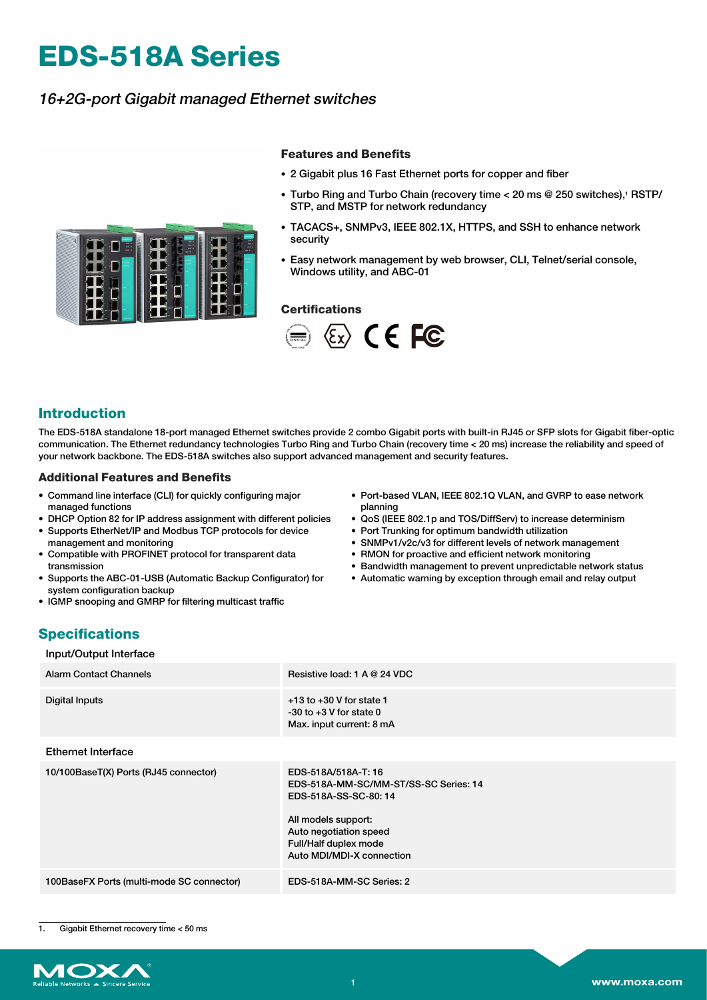# **EDS-518A Series**

## 16+2G-port Gigabit managed Ethernet switches

L

#### **Features and Benefits**

- 2 Gigabit plus 16 Fast Ethernet ports for copper and fiber
- Turbo Ring and Turbo Chain (recovery time < 20 ms @ 250 switches),<sup>1</sup> RSTP/ STP, and MSTP for network redundancy
- TACACS+, SNMPv3, IEEE 802.1X, HTTPS, and SSH to enhance network security
- Easy network management by web browser, CLI, Telnet/serial console, Windows utility, and ABC-01

#### **Certifications**



#### **Introduction**

The EDS-518A standalone 18-port managed Ethernet switches provide 2 combo Gigabit ports with built-in RJ45 or SFP slots for Gigabit fiber-optic communication. The Ethernet redundancy technologies Turbo Ring and Turbo Chain (recovery time < 20 ms) increase the reliability and speed of your network backbone. The EDS-518A switches also support advanced management and security features.

#### **Additional Features and Benefits**

- Command line interface (CLI) for quickly configuring major managed functions
- DHCP Option 82 for IP address assignment with different policies • Supports EtherNet/IP and Modbus TCP protocols for device
- management and monitoring • Compatible with PROFINET protocol for transparent data
- transmission
- Supports the ABC-01-USB (Automatic Backup Configurator) for system configuration backup
- IGMP snooping and GMRP for filtering multicast traffic
- Port-based VLAN, IEEE 802.1Q VLAN, and GVRP to ease network planning
- QoS (IEEE 802.1p and TOS/DiffServ) to increase determinism
- Port Trunking for optimum bandwidth utilization
- SNMPv1/v2c/v3 for different levels of network management
- RMON for proactive and efficient network monitoring
- Bandwidth management to prevent unpredictable network status
- Automatic warning by exception through email and relay output

## **Specifications**

Input/Output Interface

| <b>Alarm Contact Channels</b>             | Resistive load: 1 A @ 24 VDC                                                                                                                                                                |
|-------------------------------------------|---------------------------------------------------------------------------------------------------------------------------------------------------------------------------------------------|
| Digital Inputs                            | $+13$ to $+30$ V for state 1<br>$-30$ to $+3$ V for state 0<br>Max. input current: 8 mA                                                                                                     |
| <b>Ethernet Interface</b>                 |                                                                                                                                                                                             |
| 10/100BaseT(X) Ports (RJ45 connector)     | EDS-518A/518A-T: 16<br>EDS-518A-MM-SC/MM-ST/SS-SC Series: 14<br>EDS-518A-SS-SC-80:14<br>All models support:<br>Auto negotiation speed<br>Full/Half duplex mode<br>Auto MDI/MDI-X connection |
| 100BaseFX Ports (multi-mode SC connector) | EDS-518A-MM-SC Series: 2                                                                                                                                                                    |

1. Gigabit Ethernet recovery time < 50 ms

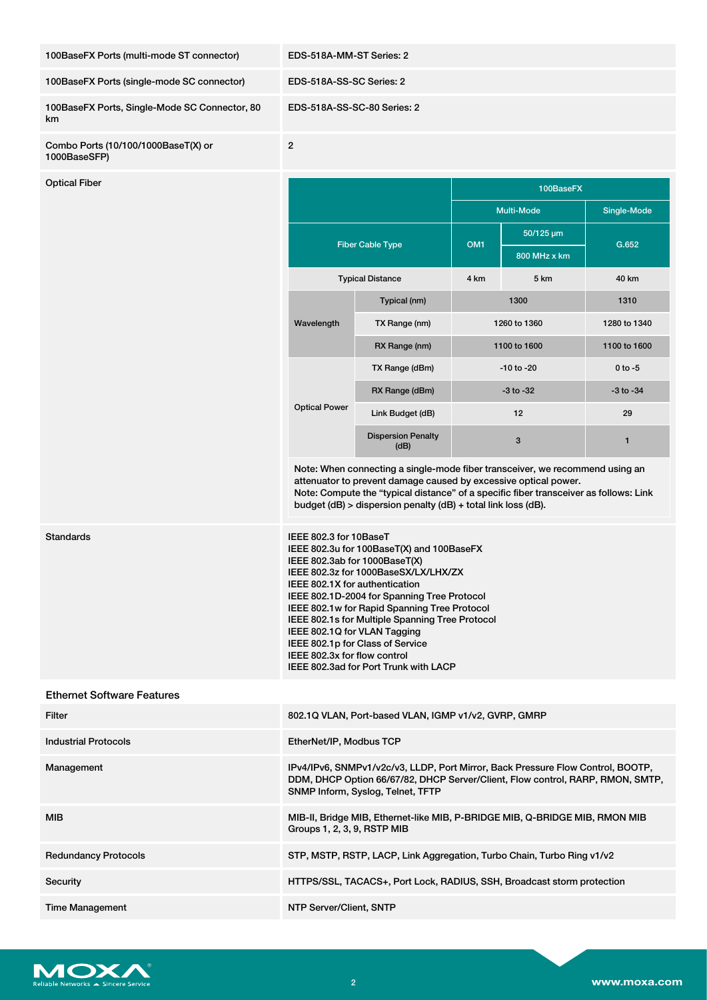| 100BaseFX Ports (multi-mode ST connector)           | EDS-518A-MM-ST Series: 2                                                                                                                                                                                                                                                                                                                                                                                                                                                      |                                                      |                           |                           |               |
|-----------------------------------------------------|-------------------------------------------------------------------------------------------------------------------------------------------------------------------------------------------------------------------------------------------------------------------------------------------------------------------------------------------------------------------------------------------------------------------------------------------------------------------------------|------------------------------------------------------|---------------------------|---------------------------|---------------|
| 100BaseFX Ports (single-mode SC connector)          | EDS-518A-SS-SC Series: 2                                                                                                                                                                                                                                                                                                                                                                                                                                                      |                                                      |                           |                           |               |
| 100BaseFX Ports, Single-Mode SC Connector, 80<br>km | EDS-518A-SS-SC-80 Series: 2                                                                                                                                                                                                                                                                                                                                                                                                                                                   |                                                      |                           |                           |               |
| Combo Ports (10/100/1000BaseT(X) or<br>1000BaseSFP) | $\overline{2}$                                                                                                                                                                                                                                                                                                                                                                                                                                                                |                                                      |                           |                           |               |
| <b>Optical Fiber</b>                                | 100BaseFX                                                                                                                                                                                                                                                                                                                                                                                                                                                                     |                                                      |                           |                           |               |
|                                                     |                                                                                                                                                                                                                                                                                                                                                                                                                                                                               |                                                      | Multi-Mode<br>Single-Mode |                           |               |
|                                                     | <b>Fiber Cable Type</b>                                                                                                                                                                                                                                                                                                                                                                                                                                                       |                                                      | OM <sub>1</sub>           | 50/125 µm<br>800 MHz x km | G.652         |
|                                                     | <b>Typical Distance</b>                                                                                                                                                                                                                                                                                                                                                                                                                                                       |                                                      | 4 km                      | 5 km                      | 40 km         |
|                                                     |                                                                                                                                                                                                                                                                                                                                                                                                                                                                               | Typical (nm)                                         | 1300                      |                           | 1310          |
|                                                     | Wavelength                                                                                                                                                                                                                                                                                                                                                                                                                                                                    | TX Range (nm)                                        | 1260 to 1360              |                           | 1280 to 1340  |
|                                                     |                                                                                                                                                                                                                                                                                                                                                                                                                                                                               | RX Range (nm)                                        | 1100 to 1600              |                           | 1100 to 1600  |
|                                                     |                                                                                                                                                                                                                                                                                                                                                                                                                                                                               | TX Range (dBm)                                       | $-10$ to $-20$            |                           | $0$ to $-5$   |
|                                                     | <b>Optical Power</b>                                                                                                                                                                                                                                                                                                                                                                                                                                                          | RX Range (dBm)                                       | $-3$ to $-32$             |                           | $-3$ to $-34$ |
|                                                     |                                                                                                                                                                                                                                                                                                                                                                                                                                                                               | Link Budget (dB)                                     | 12                        |                           | 29            |
|                                                     |                                                                                                                                                                                                                                                                                                                                                                                                                                                                               | <b>Dispersion Penalty</b><br>(dB)                    |                           | 3                         | 1             |
|                                                     | Note: When connecting a single-mode fiber transceiver, we recommend using an<br>attenuator to prevent damage caused by excessive optical power.<br>Note: Compute the "typical distance" of a specific fiber transceiver as follows: Link<br>budget (dB) > dispersion penalty (dB) + total link loss (dB).                                                                                                                                                                     |                                                      |                           |                           |               |
| Standards                                           | IEEE 802.3 for 10BaseT<br>IEEE 802.3u for 100BaseT(X) and 100BaseFX<br>IEEE 802.3ab for 1000BaseT(X)<br>IEEE 802.3z for 1000BaseSX/LX/LHX/ZX<br>IEEE 802.1X for authentication<br>IEEE 802.1D-2004 for Spanning Tree Protocol<br>IEEE 802.1w for Rapid Spanning Tree Protocol<br>IEEE 802.1s for Multiple Spanning Tree Protocol<br>IEEE 802.1Q for VLAN Tagging<br>IEEE 802.1p for Class of Service<br>IEEE 802.3x for flow control<br>IEEE 802.3ad for Port Trunk with LACP |                                                      |                           |                           |               |
| <b>Ethernet Software Features</b>                   |                                                                                                                                                                                                                                                                                                                                                                                                                                                                               |                                                      |                           |                           |               |
| Filter                                              |                                                                                                                                                                                                                                                                                                                                                                                                                                                                               | 802.1Q VLAN, Port-based VLAN, IGMP v1/v2, GVRP, GMRP |                           |                           |               |
| <b>Industrial Protocols</b>                         | EtherNet/IP, Modbus TCP                                                                                                                                                                                                                                                                                                                                                                                                                                                       |                                                      |                           |                           |               |
| Management                                          | IPv4/IPv6, SNMPv1/v2c/v3, LLDP, Port Mirror, Back Pressure Flow Control, BOOTP,<br>DDM, DHCP Option 66/67/82, DHCP Server/Client, Flow control, RARP, RMON, SMTP,<br>SNMP Inform, Syslog, Telnet, TFTP                                                                                                                                                                                                                                                                        |                                                      |                           |                           |               |
| <b>MIB</b>                                          | MIB-II, Bridge MIB, Ethernet-like MIB, P-BRIDGE MIB, Q-BRIDGE MIB, RMON MIB<br>Groups 1, 2, 3, 9, RSTP MIB                                                                                                                                                                                                                                                                                                                                                                    |                                                      |                           |                           |               |
| <b>Redundancy Protocols</b>                         | STP, MSTP, RSTP, LACP, Link Aggregation, Turbo Chain, Turbo Ring v1/v2                                                                                                                                                                                                                                                                                                                                                                                                        |                                                      |                           |                           |               |
| Security                                            | HTTPS/SSL, TACACS+, Port Lock, RADIUS, SSH, Broadcast storm protection                                                                                                                                                                                                                                                                                                                                                                                                        |                                                      |                           |                           |               |
| <b>Time Management</b>                              | NTP Server/Client, SNTP                                                                                                                                                                                                                                                                                                                                                                                                                                                       |                                                      |                           |                           |               |

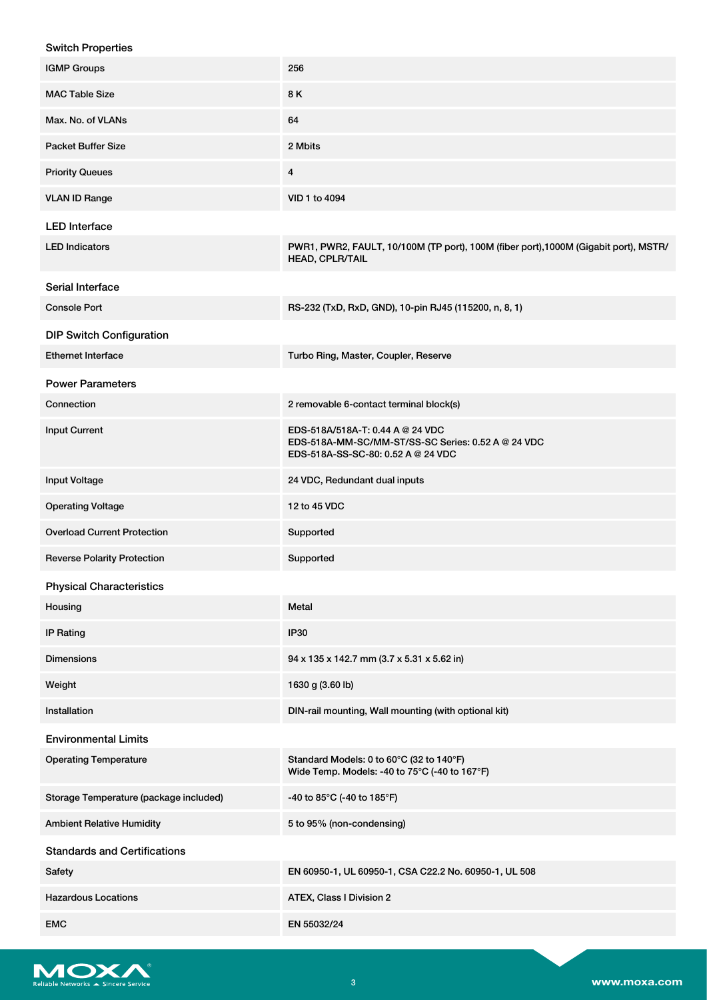| <b>Switch Properties</b>               |                                                                                                                              |
|----------------------------------------|------------------------------------------------------------------------------------------------------------------------------|
| <b>IGMP Groups</b>                     | 256                                                                                                                          |
| <b>MAC Table Size</b>                  | 8K                                                                                                                           |
| Max. No. of VLANs                      | 64                                                                                                                           |
| <b>Packet Buffer Size</b>              | 2 Mbits                                                                                                                      |
| <b>Priority Queues</b>                 | 4                                                                                                                            |
| <b>VLAN ID Range</b>                   | VID 1 to 4094                                                                                                                |
| <b>LED Interface</b>                   |                                                                                                                              |
| <b>LED Indicators</b>                  | PWR1, PWR2, FAULT, 10/100M (TP port), 100M (fiber port), 1000M (Gigabit port), MSTR/<br>HEAD, CPLR/TAIL                      |
| Serial Interface                       |                                                                                                                              |
| <b>Console Port</b>                    | RS-232 (TxD, RxD, GND), 10-pin RJ45 (115200, n, 8, 1)                                                                        |
| <b>DIP Switch Configuration</b>        |                                                                                                                              |
| <b>Ethernet Interface</b>              | Turbo Ring, Master, Coupler, Reserve                                                                                         |
| <b>Power Parameters</b>                |                                                                                                                              |
| Connection                             | 2 removable 6-contact terminal block(s)                                                                                      |
| <b>Input Current</b>                   | EDS-518A/518A-T: 0.44 A @ 24 VDC<br>EDS-518A-MM-SC/MM-ST/SS-SC Series: 0.52 A @ 24 VDC<br>EDS-518A-SS-SC-80: 0.52 A @ 24 VDC |
| <b>Input Voltage</b>                   | 24 VDC, Redundant dual inputs                                                                                                |
| <b>Operating Voltage</b>               | 12 to 45 VDC                                                                                                                 |
| <b>Overload Current Protection</b>     | Supported                                                                                                                    |
| <b>Reverse Polarity Protection</b>     | Supported                                                                                                                    |
| <b>Physical Characteristics</b>        |                                                                                                                              |
| Housing                                | Metal                                                                                                                        |
| IP Rating                              | IP30                                                                                                                         |
| <b>Dimensions</b>                      | 94 x 135 x 142.7 mm (3.7 x 5.31 x 5.62 in)                                                                                   |
| Weight                                 | 1630 g (3.60 lb)                                                                                                             |
| Installation                           | DIN-rail mounting, Wall mounting (with optional kit)                                                                         |
| <b>Environmental Limits</b>            |                                                                                                                              |
| <b>Operating Temperature</b>           | Standard Models: 0 to 60°C (32 to 140°F)<br>Wide Temp. Models: -40 to 75°C (-40 to 167°F)                                    |
| Storage Temperature (package included) | -40 to 85°C (-40 to 185°F)                                                                                                   |
| <b>Ambient Relative Humidity</b>       | 5 to 95% (non-condensing)                                                                                                    |
| <b>Standards and Certifications</b>    |                                                                                                                              |
| Safety                                 | EN 60950-1, UL 60950-1, CSA C22.2 No. 60950-1, UL 508                                                                        |
| <b>Hazardous Locations</b>             | ATEX, Class I Division 2                                                                                                     |
| <b>EMC</b>                             | EN 55032/24                                                                                                                  |

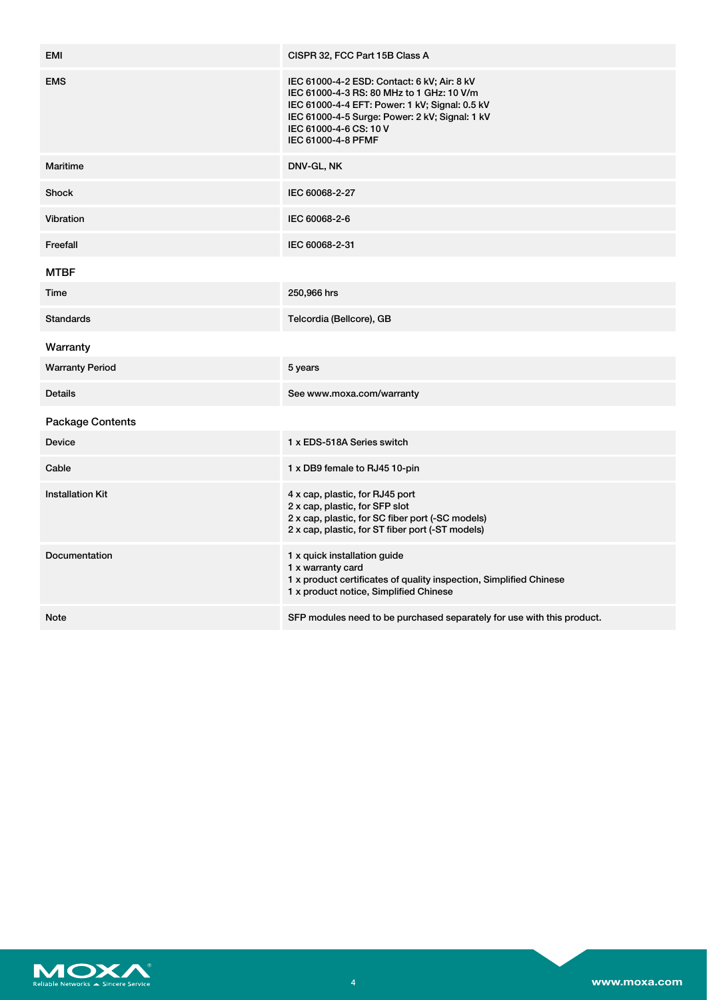| <b>EMI</b>              | CISPR 32, FCC Part 15B Class A                                                                                                                                                                                                               |
|-------------------------|----------------------------------------------------------------------------------------------------------------------------------------------------------------------------------------------------------------------------------------------|
| <b>EMS</b>              | IEC 61000-4-2 ESD: Contact: 6 kV; Air: 8 kV<br>IEC 61000-4-3 RS: 80 MHz to 1 GHz: 10 V/m<br>IEC 61000-4-4 EFT: Power: 1 kV; Signal: 0.5 kV<br>IEC 61000-4-5 Surge: Power: 2 kV; Signal: 1 kV<br>IEC 61000-4-6 CS: 10 V<br>IEC 61000-4-8 PFMF |
| Maritime                | DNV-GL, NK                                                                                                                                                                                                                                   |
| <b>Shock</b>            | IEC 60068-2-27                                                                                                                                                                                                                               |
| Vibration               | IEC 60068-2-6                                                                                                                                                                                                                                |
| Freefall                | IEC 60068-2-31                                                                                                                                                                                                                               |
| <b>MTBF</b>             |                                                                                                                                                                                                                                              |
| Time                    | 250,966 hrs                                                                                                                                                                                                                                  |
| <b>Standards</b>        | Telcordia (Bellcore), GB                                                                                                                                                                                                                     |
| Warranty                |                                                                                                                                                                                                                                              |
| <b>Warranty Period</b>  | 5 years                                                                                                                                                                                                                                      |
| <b>Details</b>          | See www.moxa.com/warranty                                                                                                                                                                                                                    |
| <b>Package Contents</b> |                                                                                                                                                                                                                                              |
| <b>Device</b>           | 1 x EDS-518A Series switch                                                                                                                                                                                                                   |
| Cable                   | 1 x DB9 female to RJ45 10-pin                                                                                                                                                                                                                |
| <b>Installation Kit</b> | 4 x cap, plastic, for RJ45 port<br>2 x cap, plastic, for SFP slot<br>2 x cap, plastic, for SC fiber port (-SC models)<br>2 x cap, plastic, for ST fiber port (-ST models)                                                                    |
| Documentation           | 1 x quick installation guide<br>1 x warranty card<br>1 x product certificates of quality inspection, Simplified Chinese<br>1 x product notice, Simplified Chinese                                                                            |
| <b>Note</b>             | SFP modules need to be purchased separately for use with this product.                                                                                                                                                                       |

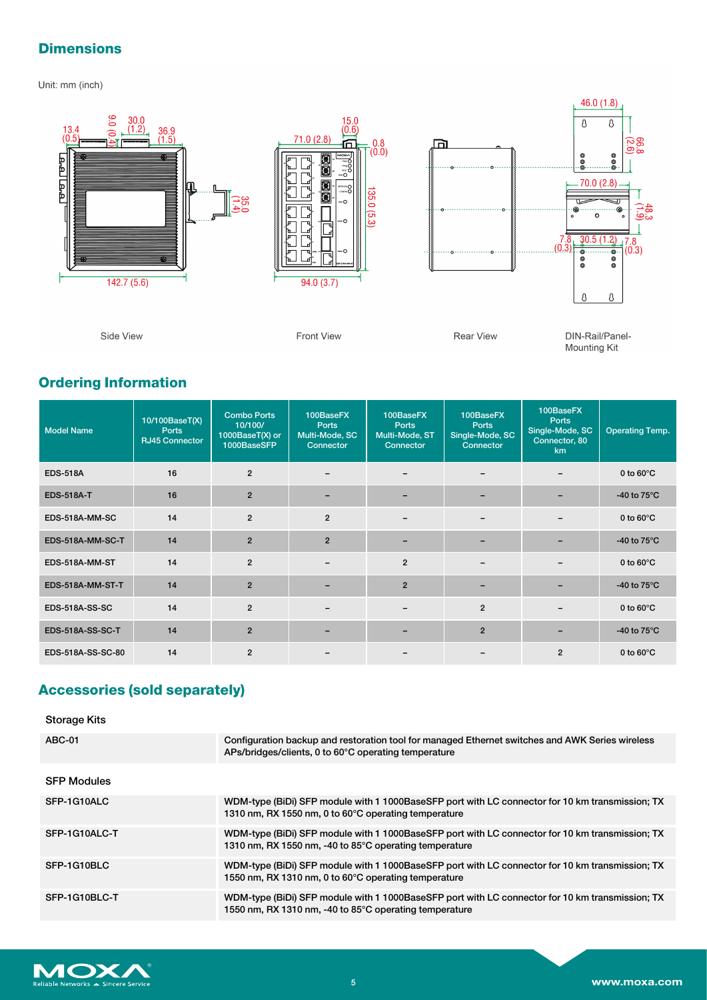## **Dimensions**

Unit: mm (inch)



## **Ordering Information**

| <b>Model Name</b>     | 10/100BaseT(X)<br><b>Ports</b><br><b>RJ45 Connector</b> | <b>Combo Ports</b><br>10/100/<br>1000BaseT(X) or<br>1000BaseSFP | 100BaseFX<br><b>Ports</b><br>Multi-Mode, SC<br>Connector | 100BaseFX<br><b>Ports</b><br>Multi-Mode, ST<br>Connector | 100BaseFX<br>Ports<br>Single-Mode, SC<br>Connector | 100BaseFX<br><b>Ports</b><br>Single-Mode, SC<br>Connector, 80<br>km | <b>Operating Temp.</b> |
|-----------------------|---------------------------------------------------------|-----------------------------------------------------------------|----------------------------------------------------------|----------------------------------------------------------|----------------------------------------------------|---------------------------------------------------------------------|------------------------|
| <b>EDS-518A</b>       | 16                                                      | $\overline{2}$                                                  |                                                          |                                                          |                                                    |                                                                     | 0 to $60^{\circ}$ C    |
| <b>EDS-518A-T</b>     | 16                                                      | $\overline{2}$                                                  |                                                          |                                                          |                                                    |                                                                     | -40 to $75^{\circ}$ C  |
| EDS-518A-MM-SC        | 14                                                      | $\overline{2}$                                                  | $\overline{2}$                                           |                                                          |                                                    |                                                                     | 0 to $60^{\circ}$ C    |
| EDS-518A-MM-SC-T      | 14                                                      | $\overline{2}$                                                  | $\overline{2}$                                           |                                                          |                                                    |                                                                     | -40 to $75^{\circ}$ C  |
| EDS-518A-MM-ST        | 14                                                      | $\overline{2}$                                                  | -                                                        | $\overline{2}$                                           | $\overline{\phantom{a}}$                           |                                                                     | 0 to $60^{\circ}$ C    |
| EDS-518A-MM-ST-T      | 14                                                      | $\overline{2}$                                                  |                                                          | $\overline{2}$                                           |                                                    |                                                                     | -40 to $75^{\circ}$ C  |
| <b>EDS-518A-SS-SC</b> | 14                                                      | $\overline{2}$                                                  |                                                          |                                                          | $\overline{2}$                                     |                                                                     | 0 to $60^{\circ}$ C    |
| EDS-518A-SS-SC-T      | 14                                                      | $\overline{2}$                                                  |                                                          |                                                          | $\overline{2}$                                     |                                                                     | -40 to $75^{\circ}$ C  |
| EDS-518A-SS-SC-80     | 14                                                      | $\overline{2}$                                                  |                                                          |                                                          |                                                    | $\overline{2}$                                                      | 0 to $60^{\circ}$ C    |

## **Accessories (sold separately)**

| <b>Storage Kits</b> |                                                                                                                                                           |
|---------------------|-----------------------------------------------------------------------------------------------------------------------------------------------------------|
| <b>ABC-01</b>       | Configuration backup and restoration tool for managed Ethernet switches and AWK Series wireless<br>APs/bridges/clients, 0 to 60°C operating temperature   |
| <b>SFP Modules</b>  |                                                                                                                                                           |
| SFP-1G10ALC         | WDM-type (BiDi) SFP module with 1 1000BaseSFP port with LC connector for 10 km transmission; TX<br>1310 nm, RX 1550 nm, 0 to 60°C operating temperature   |
| SFP-1G10ALC-T       | WDM-type (BiDi) SFP module with 1 1000BaseSFP port with LC connector for 10 km transmission; TX<br>1310 nm, RX 1550 nm, -40 to 85°C operating temperature |
| SFP-1G10BLC         | WDM-type (BiDi) SFP module with 1 1000BaseSFP port with LC connector for 10 km transmission; TX<br>1550 nm, RX 1310 nm, 0 to 60°C operating temperature   |
| SFP-1G10BLC-T       | WDM-type (BiDi) SFP module with 1 1000BaseSFP port with LC connector for 10 km transmission; TX<br>1550 nm, RX 1310 nm, -40 to 85°C operating temperature |

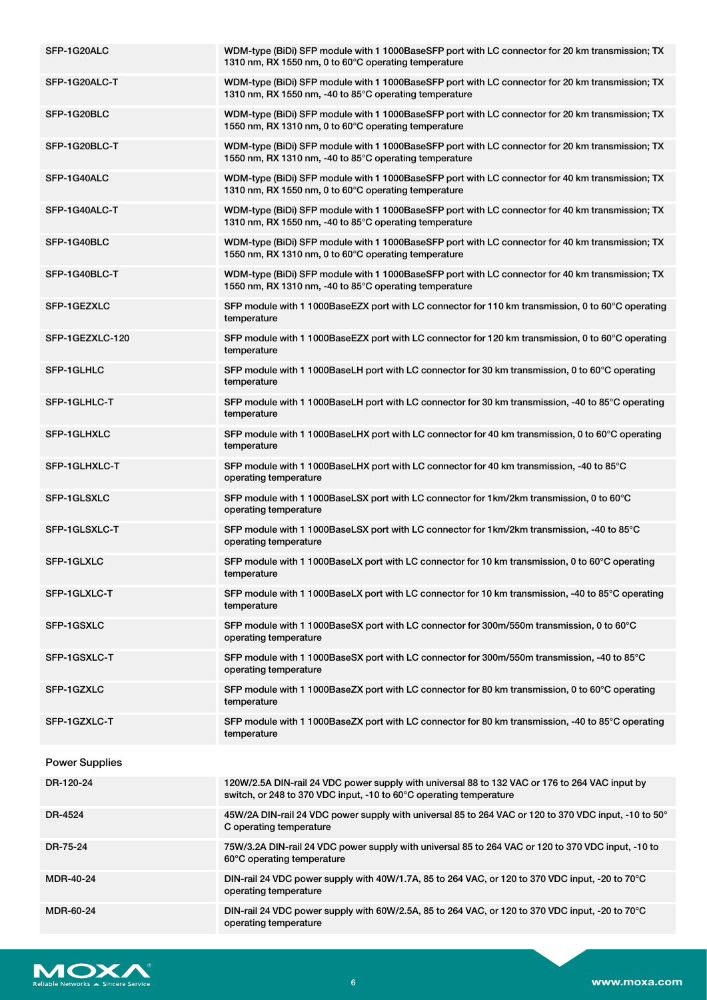| SFP-1G20ALC           | WDM-type (BiDi) SFP module with 1 1000BaseSFP port with LC connector for 20 km transmission; TX<br>1310 nm, RX 1550 nm, 0 to 60°C operating temperature              |
|-----------------------|----------------------------------------------------------------------------------------------------------------------------------------------------------------------|
| SFP-1G20ALC-T         | WDM-type (BiDi) SFP module with 1 1000BaseSFP port with LC connector for 20 km transmission; TX<br>1310 nm, RX 1550 nm, -40 to 85°C operating temperature            |
| SFP-1G20BLC           | WDM-type (BiDi) SFP module with 1 1000BaseSFP port with LC connector for 20 km transmission; TX<br>1550 nm, RX 1310 nm, 0 to 60°C operating temperature              |
| SFP-1G20BLC-T         | WDM-type (BiDi) SFP module with 1 1000BaseSFP port with LC connector for 20 km transmission; TX<br>1550 nm, RX 1310 nm, -40 to 85°C operating temperature            |
| SFP-1G40ALC           | WDM-type (BiDi) SFP module with 1 1000BaseSFP port with LC connector for 40 km transmission; TX<br>1310 nm, RX 1550 nm, 0 to 60°C operating temperature              |
| SFP-1G40ALC-T         | WDM-type (BiDi) SFP module with 1 1000BaseSFP port with LC connector for 40 km transmission; TX<br>1310 nm, RX 1550 nm, -40 to 85°C operating temperature            |
| SFP-1G40BLC           | WDM-type (BiDi) SFP module with 1 1000BaseSFP port with LC connector for 40 km transmission; TX<br>1550 nm, RX 1310 nm, 0 to 60°C operating temperature              |
| SFP-1G40BLC-T         | WDM-type (BiDi) SFP module with 1 1000BaseSFP port with LC connector for 40 km transmission; TX<br>1550 nm, RX 1310 nm, -40 to 85°C operating temperature            |
| SFP-1GEZXLC           | SFP module with 1 1000BaseEZX port with LC connector for 110 km transmission, 0 to 60°C operating<br>temperature                                                     |
| SFP-1GEZXLC-120       | SFP module with 1 1000BaseEZX port with LC connector for 120 km transmission, 0 to 60°C operating<br>temperature                                                     |
| SFP-1GLHLC            | SFP module with 1 1000BaseLH port with LC connector for 30 km transmission, 0 to 60°C operating<br>temperature                                                       |
| SFP-1GLHLC-T          | SFP module with 1 1000BaseLH port with LC connector for 30 km transmission, -40 to 85°C operating<br>temperature                                                     |
| SFP-1GLHXLC           | SFP module with 1 1000BaseLHX port with LC connector for 40 km transmission, 0 to 60°C operating<br>temperature                                                      |
| SFP-1GLHXLC-T         | SFP module with 1 1000BaseLHX port with LC connector for 40 km transmission, -40 to 85°C<br>operating temperature                                                    |
| SFP-1GLSXLC           | SFP module with 1 1000BaseLSX port with LC connector for 1km/2km transmission, 0 to 60°C<br>operating temperature                                                    |
| SFP-1GLSXLC-T         | SFP module with 1 1000BaseLSX port with LC connector for 1km/2km transmission, -40 to 85°C<br>operating temperature                                                  |
| SFP-1GLXLC            | SFP module with 1 1000BaseLX port with LC connector for 10 km transmission, 0 to 60°C operating<br>temperature                                                       |
| SFP-1GLXLC-T          | SFP module with 1 1000BaseLX port with LC connector for 10 km transmission, -40 to 85°C operating<br>temperature                                                     |
| SFP-1GSXLC            | SFP module with 1 1000BaseSX port with LC connector for 300m/550m transmission, 0 to 60°C<br>operating temperature                                                   |
| SFP-1GSXLC-T          | SFP module with 1 1000BaseSX port with LC connector for 300m/550m transmission, -40 to 85°C<br>operating temperature                                                 |
| SFP-1GZXLC            | SFP module with 1 1000BaseZX port with LC connector for 80 km transmission, 0 to 60°C operating<br>temperature                                                       |
| SFP-1GZXLC-T          | SFP module with 1 1000BaseZX port with LC connector for 80 km transmission, -40 to 85°C operating<br>temperature                                                     |
| <b>Power Supplies</b> |                                                                                                                                                                      |
| DR-120-24             | 120W/2.5A DIN-rail 24 VDC power supply with universal 88 to 132 VAC or 176 to 264 VAC input by<br>switch, or 248 to 370 VDC input, -10 to 60°C operating temperature |
| DR-4524               | 45W/2A DIN-rail 24 VDC power supply with universal 85 to 264 VAC or 120 to 370 VDC input, -10 to 50°<br>C operating temperature                                      |
| DR-75-24              | 75W/3.2A DIN-rail 24 VDC power supply with universal 85 to 264 VAC or 120 to 370 VDC input, -10 to<br>60°C operating temperature                                     |
| <b>MDR-40-24</b>      | DIN-rail 24 VDC power supply with 40W/1.7A, 85 to 264 VAC, or 120 to 370 VDC input, -20 to 70°C<br>operating temperature                                             |
| MDR-60-24             | DIN-rail 24 VDC power supply with 60W/2.5A, 85 to 264 VAC, or 120 to 370 VDC input, -20 to 70°C<br>operating temperature                                             |